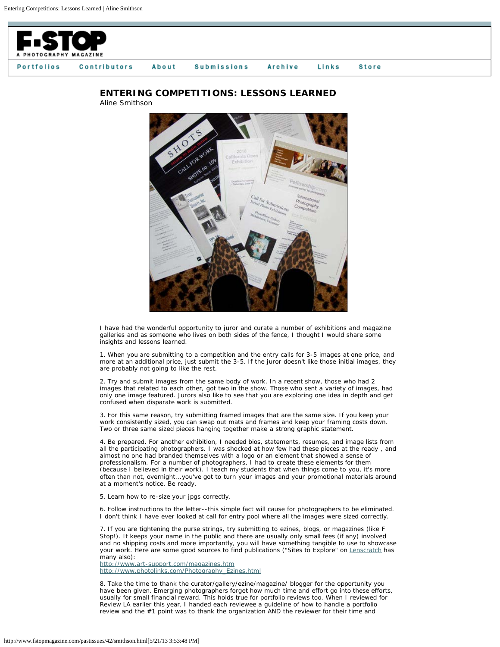



## **ENTERING COMPETITIONS: LESSONS LEARNED**

Aline Smithson

I have had the wonderful opportunity to juror and curate a number of exhibitions and magazine galleries and as someone who lives on both sides of the fence, I thought I would share some insights and lessons learned.

1. When you are submitting to a competition and the entry calls for 3-5 images at one price, and more at an additional price, just submit the 3-5. If the juror doesn't like those initial images, they are probably not going to like the rest.

2. Try and submit images from the same body of work. In a recent show, those who had 2 images that related to each other, got two in the show. Those who sent a variety of images, had only one image featured. Jurors also like to see that you are exploring one idea in depth and get confused when disparate work is submitted.

3. For this same reason, try submitting framed images that are the same size. If you keep your work consistently sized, you can swap out mats and frames and keep your framing costs down. Two or three same sized pieces hanging together make a strong graphic statement.

4. Be prepared. For another exhibition, I needed bios, statements, resumes, and image lists from all the participating photographers. I was shocked at how few had these pieces at the ready , and almost no one had branded themselves with a logo or an element that showed a sense of professionalism. For a number of photographers, I had to create these elements for them (because I believed in their work). I teach my students that when things come to you, it's more often than not, overnight...you've got to turn your images and your promotional materials around at a moment's notice. Be ready.

5. Learn how to re-size your jpgs correctly.

6. Follow instructions to the letter--this simple fact will cause for photographers to be eliminated. I don't think I have ever looked at call for entry pool where all the images were sized correctly.

7. If you are tightening the purse strings, try submitting to ezines, blogs, or magazines (like F Stop!). It keeps your name in the public and there are usually only small fees (if any) involved and no shipping costs and more importantly, you will have something tangible to use to showcase your work. Here are some good sources to find publications ("Sites to Explore" on [Lenscratch](http://www.lenscratch.blogspot.com/) has many also):

<http://www.art-support.com/magazines.htm> [http://www.photolinks.com/Photography\\_Ezines.html](http://www.photolinks.com/Photography_Ezines.html)

8. Take the time to thank the curator/gallery/ezine/magazine/ blogger for the opportunity you have been given. Emerging photographers forget how much time and effort go into these efforts, usually for small financial reward. This holds true for portfolio reviews too. When I reviewed for Review LA earlier this year, I handed each reviewee a guideline of how to handle a portfolio review and the #1 point was to thank the organization AND the reviewer for their time and